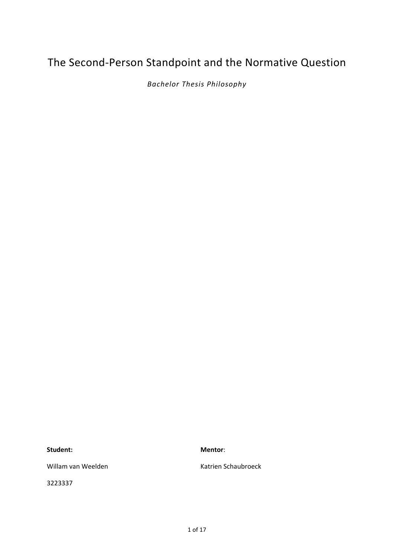# The Second-Person Standpoint and the Normative Question

*Bachelor Thesis Philosophy*

**Student:**

**Mentor**:

Willam van Weelden

3223337

Katrien Schaubroeck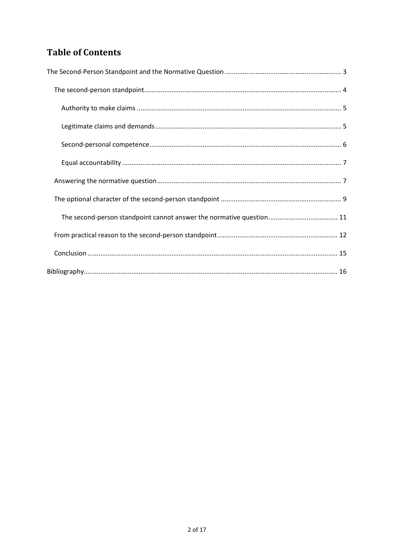## **Table of Contents**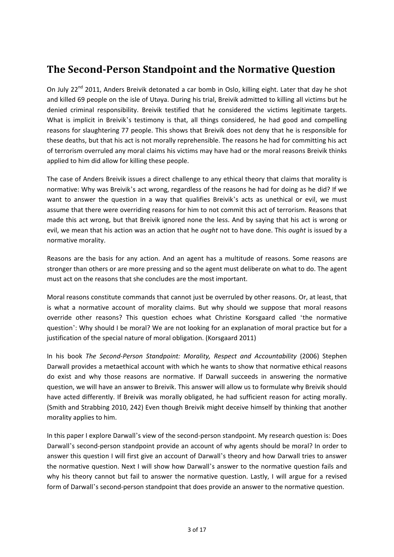# <span id="page-2-0"></span>**The Second-Person Standpoint and the Normative Question**

On July 22<sup>nd</sup> 2011, Anders Breivik detonated a car bomb in Oslo, killing eight. Later that day he shot and killed 69 people on the isle of Utøya. During his trial, Breivik admitted to killing all victims but he denied criminal responsibility. Breivik testified that he considered the victims legitimate targets. What is implicit in Breivik's testimony is that, all things considered, he had good and compelling reasons for slaughtering 77 people. This shows that Breivik does not deny that he is responsible for these deaths, but that his act is not morally reprehensible. The reasons he had for committing his act of terrorism overruled any moral claims his victims may have had or the moral reasons Breivik thinks applied to him did allow for killing these people.

The case of Anders Breivik issues a direct challenge to any ethical theory that claims that morality is normative: Why was Breivik's act wrong, regardless of the reasons he had for doing as he did? If we want to answer the question in a way that qualifies Breivik's acts as unethical or evil, we must assume that there were overriding reasons for him to not commit this act of terrorism. Reasons that made this act wrong, but that Breivik ignored none the less. And by saying that his act is wrong or evil, we mean that his action was an action that he *ought* not to have done. This *ought* is issued by a normative morality.

Reasons are the basis for any action. And an agent has a multitude of reasons. Some reasons are stronger than others or are more pressing and so the agent must deliberate on what to do. The agent must act on the reasons that she concludes are the most important.

Moral reasons constitute commands that cannot just be overruled by other reasons. Or, at least, that is what a normative account of morality claims. But why should we suppose that moral reasons override other reasons? This question echoes what Christine Korsgaard called 'the normative question': Why should I be moral? We are not looking for an explanation of moral practice but for a justification of the special nature of moral obligation. (Korsgaard 2011)

In his book *The Second-Person Standpoint: Morality, Respect and Accountability* (2006) Stephen Darwall provides a metaethical account with which he wants to show that normative ethical reasons do exist and why those reasons are normative. If Darwall succeeds in answering the normative question, we will have an answer to Breivik. This answer will allow us to formulate why Breivik should have acted differently. If Breivik was morally obligated, he had sufficient reason for acting morally. (Smith and Strabbing 2010, 242) Even though Breivik might deceive himself by thinking that another morality applies to him.

In this paper I explore Darwall's view of the second-person standpoint. My research question is: Does Darwall's second-person standpoint provide an account of why agents should be moral? In order to answer this question I will first give an account of Darwall's theory and how Darwall tries to answer the normative question. Next I will show how Darwall's answer to the normative question fails and why his theory cannot but fail to answer the normative question. Lastly, I will argue for a revised form of Darwall's second-person standpoint that does provide an answer to the normative question.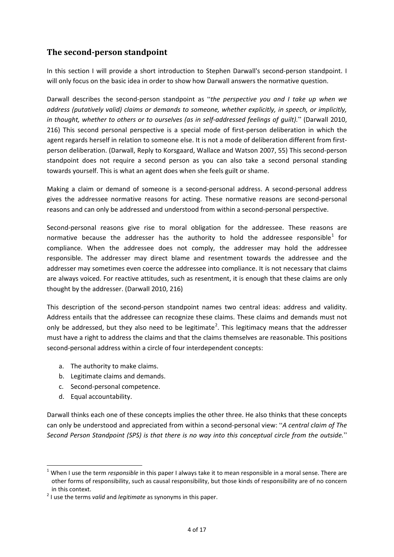### <span id="page-3-0"></span>**The second-person standpoint**

In this section I will provide a short introduction to Stephen Darwall's second-person standpoint. I will only focus on the basic idea in order to show how Darwall answers the normative question.

Darwall describes the second-person standpoint as "*the perspective you and I take up when we address (putatively valid) claims or demands to someone, whether explicitly, in speech, or implicitly, in thought, whether to others or to ourselves (as in self-addressed feelings of guilt).*" (Darwall 2010, 216) This second personal perspective is a special mode of first-person deliberation in which the agent regards herself in relation to someone else. It is not a mode of deliberation different from firstperson deliberation. (Darwall, Reply to Korsgaard, Wallace and Watson 2007, 55) This second-person standpoint does not require a second person as you can also take a second personal standing towards yourself. This is what an agent does when she feels guilt or shame.

Making a claim or demand of someone is a second-personal address. A second-personal address gives the addressee normative reasons for acting. These normative reasons are second-personal reasons and can only be addressed and understood from within a second-personal perspective.

Second-personal reasons give rise to moral obligation for the addressee. These reasons are normative because the addresser has the authority to hold the addressee responsible<sup>[1](#page-3-1)</sup> for compliance. When the addressee does not comply, the addresser may hold the addressee responsible. The addresser may direct blame and resentment towards the addressee and the addresser may sometimes even coerce the addressee into compliance. It is not necessary that claims are always voiced. For reactive attitudes, such as resentment, it is enough that these claims are only thought by the addresser. (Darwall 2010, 216)

This description of the second-person standpoint names two central ideas: address and validity. Address entails that the addressee can recognize these claims. These claims and demands must not only be addressed, but they also need to be legitimate<sup>[2](#page-3-2)</sup>. This legitimacy means that the addresser must have a right to address the claims and that the claims themselves are reasonable. This positions second-personal address within a circle of four interdependent concepts:

- a. The authority to make claims.
- b. Legitimate claims and demands.
- c. Second-personal competence.
- d. Equal accountability.

Darwall thinks each one of these concepts implies the other three. He also thinks that these concepts can only be understood and appreciated from within a second-personal view: "*A central claim of The Second Person Standpoint (SPS) is that there is no way into this conceptual circle from the outside.*"

<span id="page-3-1"></span> <sup>1</sup> When I use the term *responsible* in this paper I always take it to mean responsible in a moral sense. There are other forms of responsibility, such as causal responsibility, but those kinds of responsibility are of no concern in this context.

<span id="page-3-2"></span><sup>2</sup> I use the terms *valid* and *legitimate* as synonyms in this paper.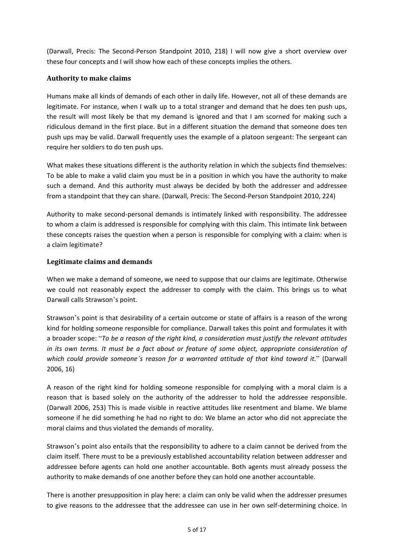(Darwall, Precis: The Second-Person Standpoint 2010, 218) I will now give a short overview over these four concepts and I will show how each of these concepts implies the others.

#### <span id="page-4-0"></span>**Authority to make claims**

Humans make all kinds of demands of each other in daily life. However, not all of these demands are legitimate. For instance, when I walk up to a total stranger and demand that he does ten push ups, the result will most likely be that my demand is ignored and that I am scorned for making such a ridiculous demand in the first place. But in a different situation the demand that someone does ten push ups may be valid. Darwall frequently uses the example of a platoon sergeant: The sergeant can require her soldiers to do ten push ups.

What makes these situations different is the authority relation in which the subjects find themselves: To be able to make a valid claim you must be in a position in which you have the authority to make such a demand. And this authority must always be decided by both the addresser and addressee from a standpoint that they can share. (Darwall, Precis: The Second-Person Standpoint 2010, 224)

Authority to make second-personal demands is intimately linked with responsibility. The addressee to whom a claim is addressed is responsible for complying with this claim. This intimate link between these concepts raises the question when a person is responsible for complying with a claim: when is a claim legitimate?

#### <span id="page-4-1"></span>**Legitimate claims and demands**

When we make a demand of someone, we need to suppose that our claims are legitimate. Otherwise we could not reasonably expect the addresser to comply with the claim. This brings us to what Darwall calls Strawson's point.

Strawson's point is that desirability of a certain outcome or state of affairs is a reason of the wrong kind for holding someone responsible for compliance. Darwall takes this point and formulates it with a broader scope: "*To be a reason of the right kind, a consideration must justify the relevant attitudes in its own terms. It must be a fact about or feature of some object, appropriate consideration of which could provide someone's reason for a warranted attitude of that kind toward it.*" (Darwall 2006, 16)

A reason of the right kind for holding someone responsible for complying with a moral claim is a reason that is based solely on the authority of the addresser to hold the addressee responsible. (Darwall 2006, 253) This is made visible in reactive attitudes like resentment and blame. We blame someone if he did something he had no right to do: We blame an actor who did not appreciate the moral claims and thus violated the demands of morality.

Strawson's point also entails that the responsibility to adhere to a claim cannot be derived from the claim itself. There must to be a previously established accountability relation between addresser and addressee before agents can hold one another accountable. Both agents must already possess the authority to make demands of one another before they can hold one another accountable.

There is another presupposition in play here: a claim can only be valid when the addresser presumes to give reasons to the addressee that the addressee can use in her own self-determining choice. In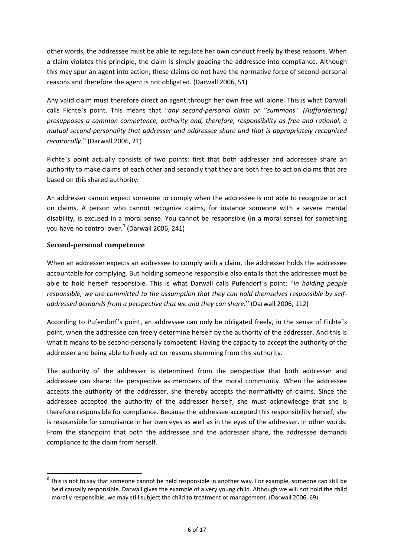other words, the addressee must be able to regulate her own conduct freely by these reasons. When a claim violates this principle, the claim is simply goading the addressee into compliance. Although this may spur an agent into action, these claims do not have the normative force of second-personal reasons and therefore the agent is not obligated. (Darwall 2006, 51)

Any valid claim must therefore direct an agent through her own free will alone. This is what Darwall calls Fichte's point. This means that "*any second-personal claim or "summons" (Aufforderung) presupposes a common competence, authority and, therefore, responsibility as free and rational, a mutual second-personality that addresser and addressee share and that is appropriately recognized reciprocally.*" (Darwall 2006, 21)

Fichte's point actually consists of two points: first that both addresser and addressee share an authority to make claims of each other and secondly that they are both free to act on claims that are based on this shared authority.

An addresser cannot expect someone to comply when the addressee is not able to recognize or act on claims. A person who cannot recognize claims, for instance someone with a severe mental disability, is excused in a moral sense. You cannot be responsible (in a moral sense) for something you have no control over. $3$  (Darwall 2006, 241)

#### <span id="page-5-0"></span>**Second-personal competence**

When an addresser expects an addressee to comply with a claim, the addresser holds the addressee accountable for complying. But holding someone responsible also entails that the addressee must be able to hold herself responsible. This is what Darwall calls Pufendorf's point: "*in holding people responsible, we are committed to the assumption that they can hold themselves responsible by selfaddressed demands from a perspective that we and they can share.*" (Darwall 2006, 112)

According to Pufendorf's point, an addressee can only be obligated freely, in the sense of Fichte's point, when the addressee can freely determine herself by the authority of the addresser. And this is what it means to be second-personally competent: Having the capacity to accept the authority of the addresser and being able to freely act on reasons stemming from this authority.

The authority of the addresser is determined from the perspective that both addresser and addressee can share: the perspective as members of the moral community. When the addressee accepts the authority of the addresser, she thereby accepts the normativity of claims. Since the addressee accepted the authority of the addresser herself, she must acknowledge that she is therefore responsible for compliance. Because the addressee accepted this responsibility herself, she is responsible for compliance in her own eyes as well as in the eyes of the addresser. In other words: From the standpoint that both the addressee and the addresser share, the addressee demands compliance to the claim from herself.

<span id="page-5-1"></span> $3$  This is not to say that someone cannot be held responsible in another way. For example, someone can still be held causally responsible. Darwall gives the example of a very young child. Although we will not hold the child morally responsible, we may still subject the child to treatment or management. (Darwall 2006, 69)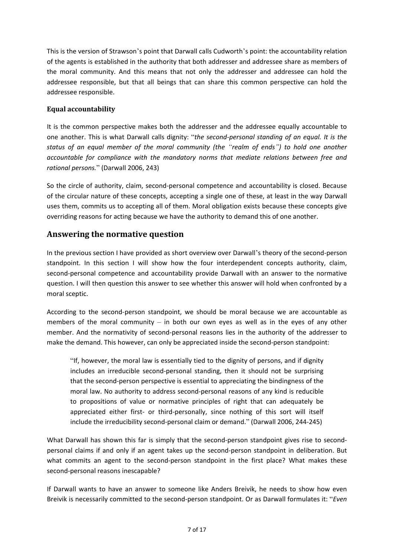This is the version of Strawson's point that Darwall calls Cudworth's point: the accountability relation of the agents is established in the authority that both addresser and addressee share as members of the moral community. And this means that not only the addresser and addressee can hold the addressee responsible, but that all beings that can share this common perspective can hold the addressee responsible.

#### <span id="page-6-0"></span>**Equal accountability**

It is the common perspective makes both the addresser and the addressee equally accountable to one another. This is what Darwall calls dignity: "*the second-personal standing of an equal. It is the status of an equal member of the moral community (the "realm of ends") to hold one another accountable for compliance with the mandatory norms that mediate relations between free and rational persons.*" (Darwall 2006, 243)

So the circle of authority, claim, second-personal competence and accountability is closed. Because of the circular nature of these concepts, accepting a single one of these, at least in the way Darwall uses them, commits us to accepting all of them. Moral obligation exists because these concepts give overriding reasons for acting because we have the authority to demand this of one another.

### <span id="page-6-1"></span>**Answering the normative question**

In the previous section I have provided as short overview over Darwall's theory of the second-person standpoint. In this section I will show how the four interdependent concepts authority, claim, second-personal competence and accountability provide Darwall with an answer to the normative question. I will then question this answer to see whether this answer will hold when confronted by a moral sceptic.

According to the second-person standpoint, we should be moral because we are accountable as members of the moral community  $-$  in both our own eyes as well as in the eyes of any other member. And the normativity of second-personal reasons lies in the authority of the addresser to make the demand. This however, can only be appreciated inside the second-person standpoint:

"If, however, the moral law is essentially tied to the dignity of persons, and if dignity includes an irreducible second-personal standing, then it should not be surprising that the second-person perspective is essential to appreciating the bindingness of the moral law. No authority to address second-personal reasons of any kind is reducible to propositions of value or normative principles of right that can adequately be appreciated either first- or third-personally, since nothing of this sort will itself include the irreducibility second-personal claim or demand." (Darwall 2006, 244-245)

What Darwall has shown this far is simply that the second-person standpoint gives rise to secondpersonal claims if and only if an agent takes up the second-person standpoint in deliberation. But what commits an agent to the second-person standpoint in the first place? What makes these second-personal reasons inescapable?

If Darwall wants to have an answer to someone like Anders Breivik, he needs to show how even Breivik is necessarily committed to the second-person standpoint. Or as Darwall formulates it: "*Even*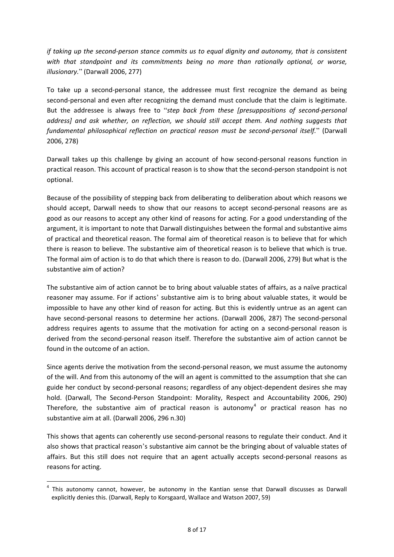*if taking up the second-person stance commits us to equal dignity and autonomy, that is consistent with that standpoint and its commitments being no more than rationally optional, or worse, illusionary.*" (Darwall 2006, 277)

To take up a second-personal stance, the addressee must first recognize the demand as being second-personal and even after recognizing the demand must conclude that the claim is legitimate. But the addressee is always free to "*step back from these [presuppositions of second-personal address] and ask whether, on reflection, we should still accept them. And nothing suggests that fundamental philosophical reflection on practical reason must be second-personal itself.*" (Darwall 2006, 278)

Darwall takes up this challenge by giving an account of how second-personal reasons function in practical reason. This account of practical reason is to show that the second-person standpoint is not optional.

Because of the possibility of stepping back from deliberating to deliberation about which reasons we should accept, Darwall needs to show that our reasons to accept second-personal reasons are as good as our reasons to accept any other kind of reasons for acting. For a good understanding of the argument, it is important to note that Darwall distinguishes between the formal and substantive aims of practical and theoretical reason. The formal aim of theoretical reason is to believe that for which there is reason to believe. The substantive aim of theoretical reason is to believe that which is true. The formal aim of action is to do that which there is reason to do. (Darwall 2006, 279) But what is the substantive aim of action?

The substantive aim of action cannot be to bring about valuable states of affairs, as a naïve practical reasoner may assume. For if actions' substantive aim is to bring about valuable states, it would be impossible to have any other kind of reason for acting. But this is evidently untrue as an agent can have second-personal reasons to determine her actions. (Darwall 2006, 287) The second-personal address requires agents to assume that the motivation for acting on a second-personal reason is derived from the second-personal reason itself. Therefore the substantive aim of action cannot be found in the outcome of an action.

Since agents derive the motivation from the second-personal reason, we must assume the autonomy of the will. And from this autonomy of the will an agent is committed to the assumption that she can guide her conduct by second-personal reasons; regardless of any object-dependent desires she may hold. (Darwall, The Second-Person Standpoint: Morality, Respect and Accountability 2006, 290) Therefore, the substantive aim of practical reason is autonomy<sup>[4](#page-7-0)</sup> or practical reason has no substantive aim at all. (Darwall 2006, 296 n.30)

This shows that agents can coherently use second-personal reasons to regulate their conduct. And it also shows that practical reason's substantive aim cannot be the bringing about of valuable states of affairs. But this still does not require that an agent actually accepts second-personal reasons as reasons for acting.

<span id="page-7-0"></span>This autonomy cannot, however, be autonomy in the Kantian sense that Darwall discusses as Darwall explicitly denies this. (Darwall, Reply to Korsgaard, Wallace and Watson 2007, 59)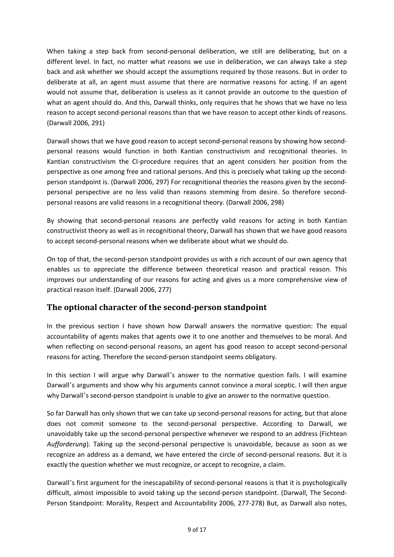When taking a step back from second-personal deliberation, we still are deliberating, but on a different level. In fact, no matter what reasons we use in deliberation, we can always take a step back and ask whether we should accept the assumptions required by those reasons. But in order to deliberate at all, an agent must assume that there are normative reasons for acting. If an agent would not assume that, deliberation is useless as it cannot provide an outcome to the question of what an agent should do. And this, Darwall thinks, only requires that he shows that we have no less reason to accept second-personal reasons than that we have reason to accept other kinds of reasons. (Darwall 2006, 291)

Darwall shows that we have good reason to accept second-personal reasons by showing how secondpersonal reasons would function in both Kantian constructivism and recognitional theories. In Kantian constructivism the CI-procedure requires that an agent considers her position from the perspective as one among free and rational persons. And this is precisely what taking up the secondperson standpoint is. (Darwall 2006, 297) For recognitional theories the reasons given by the secondpersonal perspective are no less valid than reasons stemming from desire. So therefore secondpersonal reasons are valid reasons in a recognitional theory. (Darwall 2006, 298)

By showing that second-personal reasons are perfectly valid reasons for acting in both Kantian constructivist theory as well as in recognitional theory, Darwall has shown that we have good reasons to accept second-personal reasons when we deliberate about what we should do.

On top of that, the second-person standpoint provides us with a rich account of our own agency that enables us to appreciate the difference between theoretical reason and practical reason. This improves our understanding of our reasons for acting and gives us a more comprehensive view of practical reason itself. (Darwall 2006, 277)

### <span id="page-8-0"></span>**The optional character of the second-person standpoint**

In the previous section I have shown how Darwall answers the normative question: The equal accountability of agents makes that agents owe it to one another and themselves to be moral. And when reflecting on second-personal reasons, an agent has good reason to accept second-personal reasons for acting. Therefore the second-person standpoint seems obligatory.

In this section I will argue why Darwall's answer to the normative question fails. I will examine Darwall's arguments and show why his arguments cannot convince a moral sceptic. I will then argue why Darwall's second-person standpoint is unable to give an answer to the normative question.

So far Darwall has only shown that we can take up second-personal reasons for acting, but that alone does not commit someone to the second-personal perspective. According to Darwall, we unavoidably take up the second-personal perspective whenever we respond to an address (Fichtean *Aufforderung*). Taking up the second-personal perspective is unavoidable, because as soon as we recognize an address as a demand, we have entered the circle of second-personal reasons. But it is exactly the question whether we must recognize, or accept to recognize, a claim.

Darwall's first argument for the inescapability of second-personal reasons is that it is psychologically difficult, almost impossible to avoid taking up the second-person standpoint. (Darwall, The Second-Person Standpoint: Morality, Respect and Accountability 2006, 277-278) But, as Darwall also notes,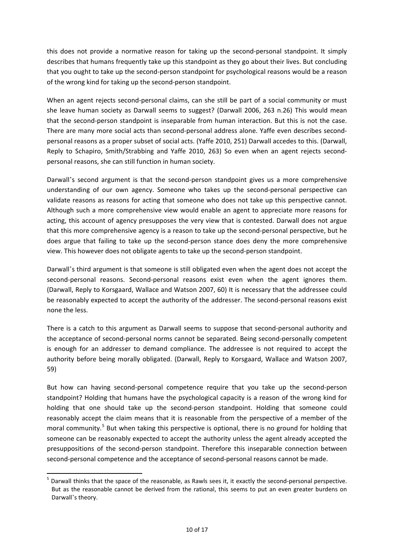this does not provide a normative reason for taking up the second-personal standpoint. It simply describes that humans frequently take up this standpoint as they go about their lives. But concluding that you ought to take up the second-person standpoint for psychological reasons would be a reason of the wrong kind for taking up the second-person standpoint.

When an agent rejects second-personal claims, can she still be part of a social community or must she leave human society as Darwall seems to suggest? (Darwall 2006, 263 n.26) This would mean that the second-person standpoint is inseparable from human interaction. But this is not the case. There are many more social acts than second-personal address alone. Yaffe even describes secondpersonal reasons as a proper subset of social acts. (Yaffe 2010, 251) Darwall accedes to this. (Darwall, Reply to Schapiro, Smith/Strabbing and Yaffe 2010, 263) So even when an agent rejects secondpersonal reasons, she can still function in human society.

Darwall's second argument is that the second-person standpoint gives us a more comprehensive understanding of our own agency. Someone who takes up the second-personal perspective can validate reasons as reasons for acting that someone who does not take up this perspective cannot. Although such a more comprehensive view would enable an agent to appreciate more reasons for acting, this account of agency presupposes the very view that is contested. Darwall does not argue that this more comprehensive agency is a reason to take up the second-personal perspective, but he does argue that failing to take up the second-person stance does deny the more comprehensive view. This however does not obligate agents to take up the second-person standpoint.

Darwall's third argument is that someone is still obligated even when the agent does not accept the second-personal reasons. Second-personal reasons exist even when the agent ignores them. (Darwall, Reply to Korsgaard, Wallace and Watson 2007, 60) It is necessary that the addressee could be reasonably expected to accept the authority of the addresser. The second-personal reasons exist none the less.

There is a catch to this argument as Darwall seems to suppose that second-personal authority and the acceptance of second-personal norms cannot be separated. Being second-personally competent is enough for an addresser to demand compliance. The addressee is not required to accept the authority before being morally obligated. (Darwall, Reply to Korsgaard, Wallace and Watson 2007, 59)

But how can having second-personal competence require that you take up the second-person standpoint? Holding that humans have the psychological capacity is a reason of the wrong kind for holding that one should take up the second-person standpoint. Holding that someone could reasonably accept the claim means that it is reasonable from the perspective of a member of the moral community.<sup>[5](#page-9-0)</sup> But when taking this perspective is optional, there is no ground for holding that someone can be reasonably expected to accept the authority unless the agent already accepted the presuppositions of the second-person standpoint. Therefore this inseparable connection between second-personal competence and the acceptance of second-personal reasons cannot be made.

<span id="page-9-0"></span><sup>&</sup>lt;sup>5</sup> Darwall thinks that the space of the reasonable, as Rawls sees it, it exactly the second-personal perspective. But as the reasonable cannot be derived from the rational, this seems to put an even greater burdens on Darwall's theory.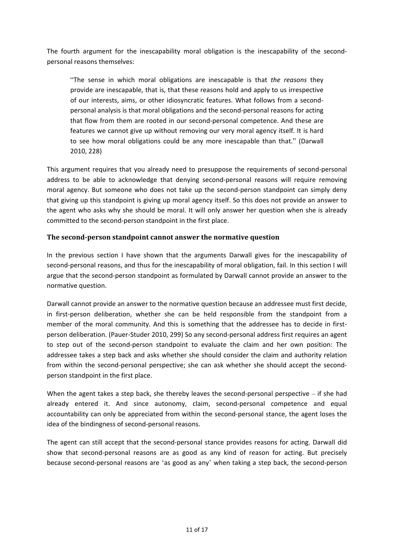The fourth argument for the inescapability moral obligation is the inescapability of the secondpersonal reasons themselves:

"The sense in which moral obligations are inescapable is that *the reasons* they provide are inescapable, that is, that these reasons hold and apply to us irrespective of our interests, aims, or other idiosyncratic features. What follows from a secondpersonal analysis is that moral obligations and the second-personal reasons for acting that flow from them are rooted in our second-personal competence. And these are features we cannot give up without removing our very moral agency itself. It is hard to see how moral obligations could be any more inescapable than that." (Darwall 2010, 228)

This argument requires that you already need to presuppose the requirements of second-personal address to be able to acknowledge that denying second-personal reasons will require removing moral agency. But someone who does not take up the second-person standpoint can simply deny that giving up this standpoint is giving up moral agency itself. So this does not provide an answer to the agent who asks why she should be moral. It will only answer her question when she is already committed to the second-person standpoint in the first place.

#### <span id="page-10-0"></span>**The second-person standpoint cannot answer the normative question**

In the previous section I have shown that the arguments Darwall gives for the inescapability of second-personal reasons, and thus for the inescapability of moral obligation, fail. In this section I will argue that the second-person standpoint as formulated by Darwall cannot provide an answer to the normative question.

Darwall cannot provide an answer to the normative question because an addressee must first decide, in first-person deliberation, whether she can be held responsible from the standpoint from a member of the moral community. And this is something that the addressee has to decide in firstperson deliberation. (Pauer-Studer 2010, 299) So any second-personal address first requires an agent to step out of the second-person standpoint to evaluate the claim and her own position: The addressee takes a step back and asks whether she should consider the claim and authority relation from within the second-personal perspective; she can ask whether she should accept the secondperson standpoint in the first place.

When the agent takes a step back, she thereby leaves the second-personal perspective – if she had already entered it. And since autonomy, claim, second-personal competence and equal accountability can only be appreciated from within the second-personal stance, the agent loses the idea of the bindingness of second-personal reasons.

The agent can still accept that the second-personal stance provides reasons for acting. Darwall did show that second-personal reasons are as good as any kind of reason for acting. But precisely because second-personal reasons are 'as good as any' when taking a step back, the second-person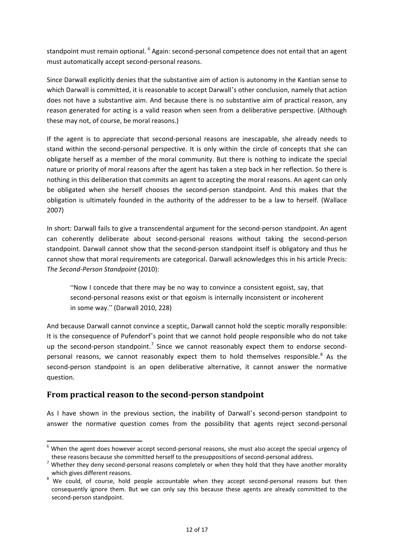standpoint must remain optional. <sup>[6](#page-11-1)</sup> Again: second-personal competence does not entail that an agent must automatically accept second-personal reasons.

Since Darwall explicitly denies that the substantive aim of action is autonomy in the Kantian sense to which Darwall is committed, it is reasonable to accept Darwall's other conclusion, namely that action does not have a substantive aim. And because there is no substantive aim of practical reason, any reason generated for acting is a valid reason when seen from a deliberative perspective. (Although these may not, of course, be moral reasons.)

If the agent is to appreciate that second-personal reasons are inescapable, she already needs to stand within the second-personal perspective. It is only within the circle of concepts that she can obligate herself as a member of the moral community. But there is nothing to indicate the special nature or priority of moral reasons after the agent has taken a step back in her reflection. So there is nothing in this deliberation that commits an agent to accepting the moral reasons. An agent can only be obligated when she herself chooses the second-person standpoint. And this makes that the obligation is ultimately founded in the authority of the addresser to be a law to herself. (Wallace 2007)

In short: Darwall fails to give a transcendental argument for the second-person standpoint. An agent can coherently deliberate about second-personal reasons without taking the second-person standpoint. Darwall cannot show that the second-person standpoint itself is obligatory and thus he cannot show that moral requirements are categorical. Darwall acknowledges this in his article Precis: *The Second-Person Standpoint* (2010):

"Now I concede that there may be no way to convince a consistent egoist, say, that second-personal reasons exist or that egoism is internally inconsistent or incoherent in some way." (Darwall 2010, 228)

And because Darwall cannot convince a sceptic, Darwall cannot hold the sceptic morally responsible: It is the consequence of Pufendorf's point that we cannot hold people responsible who do not take up the second-person standpoint.<sup>[7](#page-11-2)</sup> Since we cannot reasonably expect them to endorse second-personal reasons, we cannot reasonably expect them to hold themselves responsible.<sup>[8](#page-11-3)</sup> As the second-person standpoint is an open deliberative alternative, it cannot answer the normative question.

### <span id="page-11-0"></span>**From practical reason to the second-person standpoint**

As I have shown in the previous section, the inability of Darwall's second-person standpoint to answer the normative question comes from the possibility that agents reject second-personal

<span id="page-11-1"></span><sup>&</sup>lt;sup>6</sup> When the agent does however accept second-personal reasons, she must also accept the special urgency of

<span id="page-11-2"></span>these reasons because she committed herself to the presuppositions of second-personal address.<br><sup>7</sup> Whether they deny second-personal reasons completely or when they hold that they have another morality which gives different reasons.

<span id="page-11-3"></span><sup>&</sup>lt;sup>8</sup> We could, of course, hold people accountable when they accept second-personal reasons but then consequently ignore them. But we can only say this because these agents are already committed to the second-person standpoint.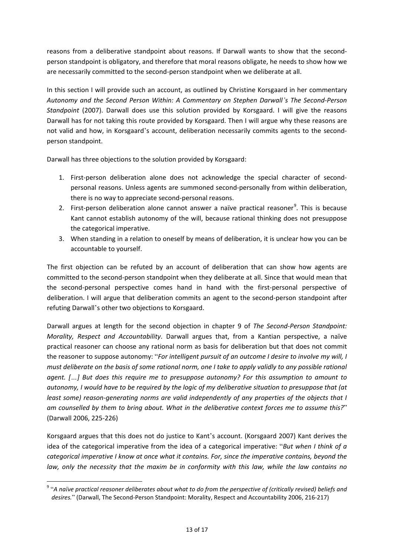reasons from a deliberative standpoint about reasons. If Darwall wants to show that the secondperson standpoint is obligatory, and therefore that moral reasons obligate, he needs to show how we are necessarily committed to the second-person standpoint when we deliberate at all.

In this section I will provide such an account, as outlined by Christine Korsgaard in her commentary *Autonomy and the Second Person Within: A Commentary on Stephen Darwall's The Second-Person Standpoint* (2007). Darwall does use this solution provided by Korsgaard. I will give the reasons Darwall has for not taking this route provided by Korsgaard. Then I will argue why these reasons are not valid and how, in Korsgaard's account, deliberation necessarily commits agents to the secondperson standpoint.

Darwall has three objections to the solution provided by Korsgaard:

- 1. First-person deliberation alone does not acknowledge the special character of secondpersonal reasons. Unless agents are summoned second-personally from within deliberation, there is no way to appreciate second-personal reasons.
- 2. First-person deliberation alone cannot answer a naïve practical reasoner<sup>[9](#page-12-0)</sup>. This is because Kant cannot establish autonomy of the will, because rational thinking does not presuppose the categorical imperative.
- 3. When standing in a relation to oneself by means of deliberation, it is unclear how you can be accountable to yourself.

The first objection can be refuted by an account of deliberation that can show how agents are committed to the second-person standpoint when they deliberate at all. Since that would mean that the second-personal perspective comes hand in hand with the first-personal perspective of deliberation. I will argue that deliberation commits an agent to the second-person standpoint after refuting Darwall's other two objections to Korsgaard.

Darwall argues at length for the second objection in chapter 9 of *The Second-Person Standpoint: Morality, Respect and Accountability*. Darwall argues that, from a Kantian perspective, a naïve practical reasoner can choose any rational norm as basis for deliberation but that does not commit the reasoner to suppose autonomy: "*For intelligent pursuit of an outcome I desire to involve my will, I must deliberate on the basis of some rational norm, one I take to apply validly to any possible rational agent. […] But does this require me to presuppose autonomy? For this assumption to amount to autonomy, I would have to be required by the logic of my deliberative situation to presuppose that (at least some) reason-generating norms are valid independently of any properties of the objects that I am counselled by them to bring about. What in the deliberative context forces me to assume this?*" (Darwall 2006, 225-226)

Korsgaard argues that this does not do justice to Kant's account. (Korsgaard 2007) Kant derives the idea of the categorical imperative from the idea of a categorical imperative: "*But when I think of a categorical imperative I know at once what it contains. For, since the imperative contains, beyond the law, only the necessity that the maxim be in conformity with this law, while the law contains no* 

<span id="page-12-0"></span> <sup>9</sup> "*A naïve practical reasoner deliberates about what to do from the perspective of (critically revised) beliefs and desires.*" (Darwall, The Second-Person Standpoint: Morality, Respect and Accountability 2006, 216-217)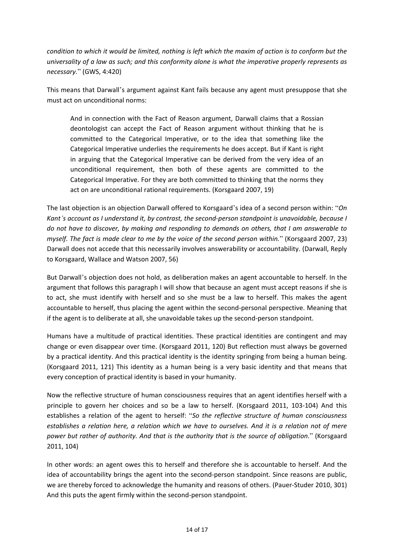*condition to which it would be limited, nothing is left which the maxim of action is to conform but the universality of a law as such; and this conformity alone is what the imperative properly represents as necessary.*" (GWS, 4:420)

This means that Darwall's argument against Kant fails because any agent must presuppose that she must act on unconditional norms:

And in connection with the Fact of Reason argument, Darwall claims that a Rossian deontologist can accept the Fact of Reason argument without thinking that he is committed to the Categorical Imperative, or to the idea that something like the Categorical Imperative underlies the requirements he does accept. But if Kant is right in arguing that the Categorical Imperative can be derived from the very idea of an unconditional requirement, then both of these agents are committed to the Categorical Imperative. For they are both committed to thinking that the norms they act on are unconditional rational requirements. (Korsgaard 2007, 19)

The last objection is an objection Darwall offered to Korsgaard's idea of a second person within: "*On Kant's account as I understand it, by contrast, the second-person standpoint is unavoidable, because I do not have to discover, by making and responding to demands on others, that I am answerable to myself. The fact is made clear to me by the voice of the second person within.*" (Korsgaard 2007, 23) Darwall does not accede that this necessarily involves answerability or accountability. (Darwall, Reply to Korsgaard, Wallace and Watson 2007, 56)

But Darwall's objection does not hold, as deliberation makes an agent accountable to herself. In the argument that follows this paragraph I will show that because an agent must accept reasons if she is to act, she must identify with herself and so she must be a law to herself. This makes the agent accountable to herself, thus placing the agent within the second-personal perspective. Meaning that if the agent is to deliberate at all, she unavoidable takes up the second-person standpoint.

Humans have a multitude of practical identities. These practical identities are contingent and may change or even disappear over time. (Korsgaard 2011, 120) But reflection must always be governed by a practical identity. And this practical identity is the identity springing from being a human being. (Korsgaard 2011, 121) This identity as a human being is a very basic identity and that means that every conception of practical identity is based in your humanity.

Now the reflective structure of human consciousness requires that an agent identifies herself with a principle to govern her choices and so be a law to herself. (Korsgaard 2011, 103-104) And this establishes a relation of the agent to herself: "*So the reflective structure of human consciousness establishes a relation here, a relation which we have to ourselves. And it is a relation not of mere power but rather of authority. And that is the authority that is the source of obligation.*" (Korsgaard 2011, 104)

In other words: an agent owes this to herself and therefore she is accountable to herself. And the idea of accountability brings the agent into the second-person standpoint. Since reasons are public, we are thereby forced to acknowledge the humanity and reasons of others. (Pauer-Studer 2010, 301) And this puts the agent firmly within the second-person standpoint.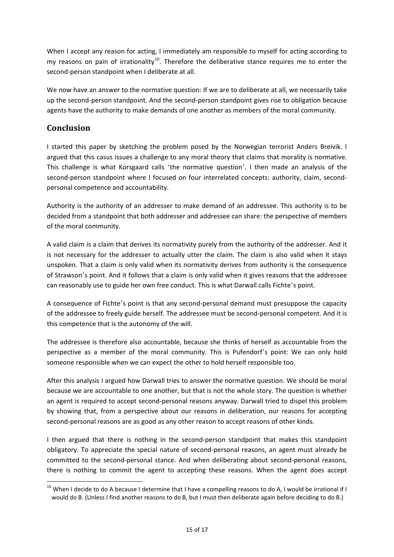When I accept any reason for acting, I immediately am responsible to myself for acting according to my reasons on pain of irrationality<sup>10</sup>. Therefore the deliberative stance requires me to enter the second-person standpoint when I deliberate at all.

We now have an answer to the normative question: If we are to deliberate at all, we necessarily take up the second-person standpoint. And the second-person standpoint gives rise to obligation because agents have the authority to make demands of one another as members of the moral community.

## <span id="page-14-0"></span>**Conclusion**

I started this paper by sketching the problem posed by the Norwegian terrorist Anders Breivik. I argued that this casus issues a challenge to any moral theory that claims that morality is normative. This challenge is what Korsgaard calls 'the normative question'. I then made an analysis of the second-person standpoint where I focused on four interrelated concepts: authority, claim, secondpersonal competence and accountability.

Authority is the authority of an addresser to make demand of an addressee. This authority is to be decided from a standpoint that both addresser and addressee can share: the perspective of members of the moral community.

A valid claim is a claim that derives its normativity purely from the authority of the addresser. And it is not necessary for the addresser to actually utter the claim. The claim is also valid when it stays unspoken. That a claim is only valid when its normativity derives from authority is the consequence of Strawson's point. And it follows that a claim is only valid when it gives reasons that the addressee can reasonably use to guide her own free conduct. This is what Darwall calls Fichte's point.

A consequence of Fichte's point is that any second-personal demand must presuppose the capacity of the addressee to freely guide herself. The addressee must be second-personal competent. And it is this competence that is the autonomy of the will.

The addressee is therefore also accountable, because she thinks of herself as accountable from the perspective as a member of the moral community. This is Pufendorf's point: We can only hold someone responsible when we can expect the other to hold herself responsible too.

After this analysis I argued how Darwall tries to answer the normative question. We should be moral because we are accountable to one another, but that is not the whole story. The question is whether an agent is required to accept second-personal reasons anyway. Darwall tried to dispel this problem by showing that, from a perspective about our reasons in deliberation, our reasons for accepting second-personal reasons are as good as any other reason to accept reasons of other kinds.

I then argued that there is nothing in the second-person standpoint that makes this standpoint obligatory. To appreciate the special nature of second-personal reasons, an agent must already be committed to the second-personal stance. And when deliberating about second-personal reasons, there is nothing to commit the agent to accepting these reasons. When the agent does accept

<span id="page-14-1"></span> $10$  When I decide to do A because I determine that I have a compelling reasons to do A, I would be irrational if I would do B. (Unless I find another reasons to do B, but I must then deliberate again before deciding to do B.)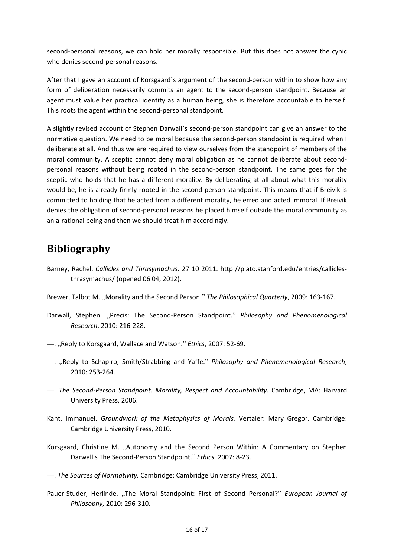second-personal reasons, we can hold her morally responsible. But this does not answer the cynic who denies second-personal reasons.

After that I gave an account of Korsgaard's argument of the second-person within to show how any form of deliberation necessarily commits an agent to the second-person standpoint. Because an agent must value her practical identity as a human being, she is therefore accountable to herself. This roots the agent within the second-personal standpoint.

A slightly revised account of Stephen Darwall's second-person standpoint can give an answer to the normative question. We need to be moral because the second-person standpoint is required when I deliberate at all. And thus we are required to view ourselves from the standpoint of members of the moral community. A sceptic cannot deny moral obligation as he cannot deliberate about secondpersonal reasons without being rooted in the second-person standpoint. The same goes for the sceptic who holds that he has a different morality. By deliberating at all about what this morality would be, he is already firmly rooted in the second-person standpoint. This means that if Breivik is committed to holding that he acted from a different morality, he erred and acted immoral. If Breivik denies the obligation of second-personal reasons he placed himself outside the moral community as an a-rational being and then we should treat him accordingly.

## <span id="page-15-0"></span>**Bibliography**

- Barney, Rachel. *Callicles and Thrasymachus.* 27 10 2011. http://plato.stanford.edu/entries/calliclesthrasymachus/ (opened 06 04, 2012).
- Brewer, Talbot M. "Morality and the Second Person." The Philosophical Quarterly, 2009: 163-167.
- Darwall, Stephen. "Precis: The Second-Person Standpoint." *Philosophy and Phenomenological Research*, 2010: 216-228.
- —. "Reply to Korsgaard, Wallace and Watson." *Ethics*, 2007: 52-69.
- —. "Reply to Schapiro, Smith/Strabbing and Yaffe." *Philosophy and Phenemenological Research*, 2010: 253-264.
- —. *The Second-Person Standpoint: Morality, Respect and Accountability.* Cambridge, MA: Harvard University Press, 2006.
- Kant, Immanuel. *Groundwork of the Metaphysics of Morals.* Vertaler: Mary Gregor. Cambridge: Cambridge University Press, 2010.
- Korsgaard, Christine M. "Autonomy and the Second Person Within: A Commentary on Stephen Darwall's The Second-Person Standpoint." *Ethics*, 2007: 8-23.
- —. *The Sources of Normativity.* Cambridge: Cambridge University Press, 2011.
- Pauer-Studer, Herlinde. "The Moral Standpoint: First of Second Personal?" *European Journal of Philosophy*, 2010: 296-310.